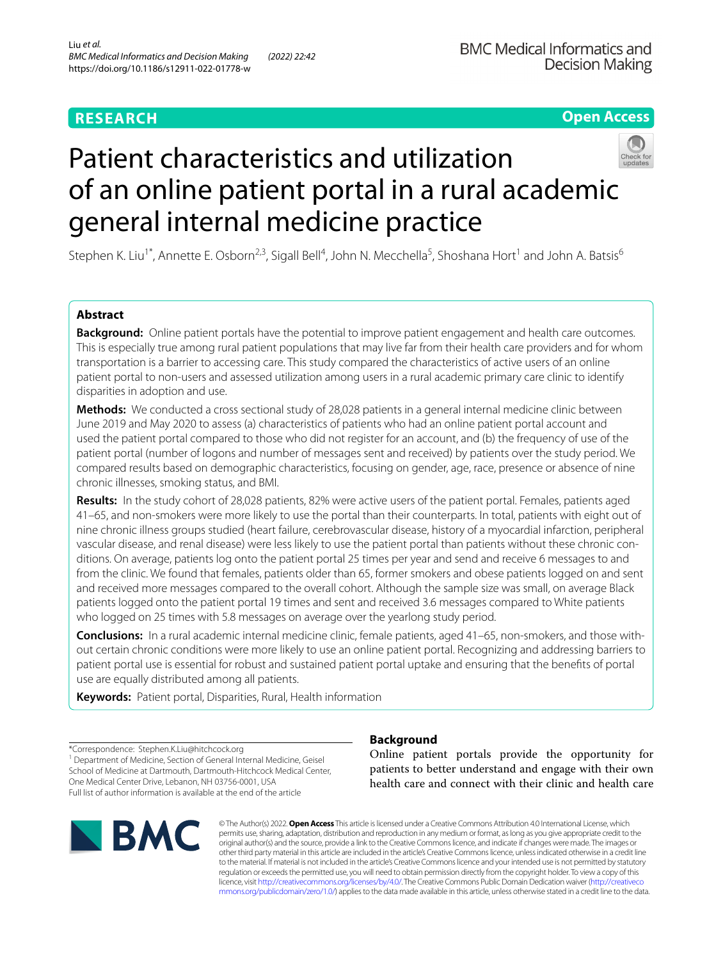# **RESEARCH**

# **Open Access**

# Patient characteristics and utilization of an online patient portal in a rural academic general internal medicine practice

Stephen K. Liu<sup>1\*</sup>, Annette E. Osborn<sup>2,3</sup>, Sigall Bell<sup>4</sup>, John N. Mecchella<sup>5</sup>, Shoshana Hort<sup>1</sup> and John A. Batsis<sup>6</sup>

# **Abstract**

**Background:** Online patient portals have the potential to improve patient engagement and health care outcomes. This is especially true among rural patient populations that may live far from their health care providers and for whom transportation is a barrier to accessing care. This study compared the characteristics of active users of an online patient portal to non-users and assessed utilization among users in a rural academic primary care clinic to identify disparities in adoption and use.

**Methods:** We conducted a cross sectional study of 28,028 patients in a general internal medicine clinic between June 2019 and May 2020 to assess (a) characteristics of patients who had an online patient portal account and used the patient portal compared to those who did not register for an account, and (b) the frequency of use of the patient portal (number of logons and number of messages sent and received) by patients over the study period. We compared results based on demographic characteristics, focusing on gender, age, race, presence or absence of nine chronic illnesses, smoking status, and BMI.

**Results:** In the study cohort of 28,028 patients, 82% were active users of the patient portal. Females, patients aged 41–65, and non-smokers were more likely to use the portal than their counterparts. In total, patients with eight out of nine chronic illness groups studied (heart failure, cerebrovascular disease, history of a myocardial infarction, peripheral vascular disease, and renal disease) were less likely to use the patient portal than patients without these chronic conditions. On average, patients log onto the patient portal 25 times per year and send and receive 6 messages to and from the clinic. We found that females, patients older than 65, former smokers and obese patients logged on and sent and received more messages compared to the overall cohort. Although the sample size was small, on average Black patients logged onto the patient portal 19 times and sent and received 3.6 messages compared to White patients who logged on 25 times with 5.8 messages on average over the yearlong study period.

**Conclusions:** In a rural academic internal medicine clinic, female patients, aged 41–65, non-smokers, and those without certain chronic conditions were more likely to use an online patient portal. Recognizing and addressing barriers to patient portal use is essential for robust and sustained patient portal uptake and ensuring that the benefts of portal use are equally distributed among all patients.

**Keywords:** Patient portal, Disparities, Rural, Health information

\*Correspondence: Stephen.K.Liu@hitchcock.org <sup>1</sup> Department of Medicine, Section of General Internal Medicine, Geisel School of Medicine at Dartmouth, Dartmouth-Hitchcock Medical Center, One Medical Center Drive, Lebanon, NH 03756-0001, USA Full list of author information is available at the end of the article

# **BMC**

# **Background**

Online patient portals provide the opportunity for patients to better understand and engage with their own health care and connect with their clinic and health care

© The Author(s) 2022. **Open Access** This article is licensed under a Creative Commons Attribution 4.0 International License, which permits use, sharing, adaptation, distribution and reproduction in any medium or format, as long as you give appropriate credit to the original author(s) and the source, provide a link to the Creative Commons licence, and indicate if changes were made. The images or other third party material in this article are included in the article's Creative Commons licence, unless indicated otherwise in a credit line to the material. If material is not included in the article's Creative Commons licence and your intended use is not permitted by statutory regulation or exceeds the permitted use, you will need to obtain permission directly from the copyright holder. To view a copy of this licence, visit [http://creativecommons.org/licenses/by/4.0/.](http://creativecommons.org/licenses/by/4.0/) The Creative Commons Public Domain Dedication waiver ([http://creativeco](http://creativecommons.org/publicdomain/zero/1.0/) [mmons.org/publicdomain/zero/1.0/](http://creativecommons.org/publicdomain/zero/1.0/)) applies to the data made available in this article, unless otherwise stated in a credit line to the data.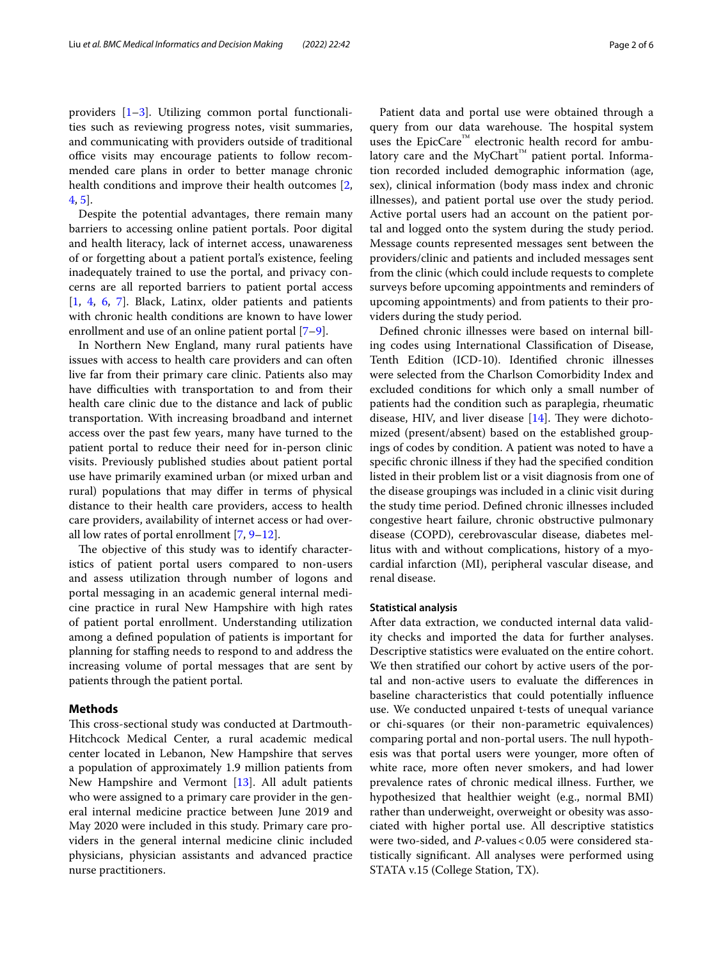providers [[1–](#page-5-0)[3\]](#page-5-1). Utilizing common portal functionalities such as reviewing progress notes, visit summaries, and communicating with providers outside of traditional office visits may encourage patients to follow recommended care plans in order to better manage chronic health conditions and improve their health outcomes [\[2](#page-5-2), [4,](#page-5-3) [5](#page-5-4)].

Despite the potential advantages, there remain many barriers to accessing online patient portals. Poor digital and health literacy, lack of internet access, unawareness of or forgetting about a patient portal's existence, feeling inadequately trained to use the portal, and privacy concerns are all reported barriers to patient portal access [[1,](#page-5-0) [4,](#page-5-3) [6,](#page-5-5) [7\]](#page-5-6). Black, Latinx, older patients and patients with chronic health conditions are known to have lower enrollment and use of an online patient portal [\[7](#page-5-6)[–9](#page-5-7)].

In Northern New England, many rural patients have issues with access to health care providers and can often live far from their primary care clinic. Patients also may have difficulties with transportation to and from their health care clinic due to the distance and lack of public transportation. With increasing broadband and internet access over the past few years, many have turned to the patient portal to reduce their need for in-person clinic visits. Previously published studies about patient portal use have primarily examined urban (or mixed urban and rural) populations that may difer in terms of physical distance to their health care providers, access to health care providers, availability of internet access or had overall low rates of portal enrollment [[7](#page-5-6), [9–](#page-5-7)[12\]](#page-5-8).

The objective of this study was to identify characteristics of patient portal users compared to non-users and assess utilization through number of logons and portal messaging in an academic general internal medicine practice in rural New Hampshire with high rates of patient portal enrollment. Understanding utilization among a defned population of patients is important for planning for stafng needs to respond to and address the increasing volume of portal messages that are sent by patients through the patient portal.

#### **Methods**

This cross-sectional study was conducted at Dartmouth-Hitchcock Medical Center, a rural academic medical center located in Lebanon, New Hampshire that serves a population of approximately 1.9 million patients from New Hampshire and Vermont [\[13](#page-5-9)]. All adult patients who were assigned to a primary care provider in the general internal medicine practice between June 2019 and May 2020 were included in this study. Primary care providers in the general internal medicine clinic included physicians, physician assistants and advanced practice nurse practitioners.

Patient data and portal use were obtained through a query from our data warehouse. The hospital system uses the EpicCare™ electronic health record for ambulatory care and the MyChart<sup>™</sup> patient portal. Information recorded included demographic information (age, sex), clinical information (body mass index and chronic illnesses), and patient portal use over the study period. Active portal users had an account on the patient portal and logged onto the system during the study period. Message counts represented messages sent between the providers/clinic and patients and included messages sent from the clinic (which could include requests to complete surveys before upcoming appointments and reminders of upcoming appointments) and from patients to their providers during the study period.

Defned chronic illnesses were based on internal billing codes using International Classifcation of Disease, Tenth Edition (ICD-10). Identifed chronic illnesses were selected from the Charlson Comorbidity Index and excluded conditions for which only a small number of patients had the condition such as paraplegia, rheumatic disease, HIV, and liver disease  $[14]$  $[14]$ . They were dichotomized (present/absent) based on the established groupings of codes by condition. A patient was noted to have a specifc chronic illness if they had the specifed condition listed in their problem list or a visit diagnosis from one of the disease groupings was included in a clinic visit during the study time period. Defned chronic illnesses included congestive heart failure, chronic obstructive pulmonary disease (COPD), cerebrovascular disease, diabetes mellitus with and without complications, history of a myocardial infarction (MI), peripheral vascular disease, and renal disease.

## **Statistical analysis**

After data extraction, we conducted internal data validity checks and imported the data for further analyses. Descriptive statistics were evaluated on the entire cohort. We then stratifed our cohort by active users of the portal and non-active users to evaluate the diferences in baseline characteristics that could potentially infuence use. We conducted unpaired t-tests of unequal variance or chi-squares (or their non-parametric equivalences) comparing portal and non-portal users. The null hypothesis was that portal users were younger, more often of white race, more often never smokers, and had lower prevalence rates of chronic medical illness. Further, we hypothesized that healthier weight (e.g., normal BMI) rather than underweight, overweight or obesity was associated with higher portal use. All descriptive statistics were two-sided, and *P*-values<0.05 were considered statistically signifcant. All analyses were performed using STATA v.15 (College Station, TX).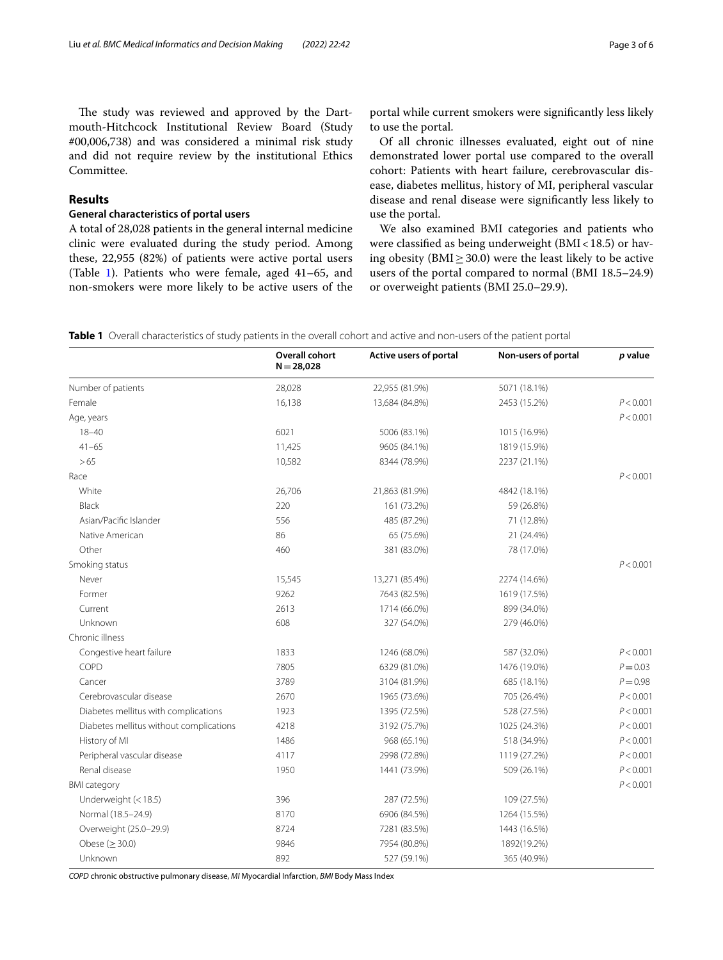The study was reviewed and approved by the Dartmouth-Hitchcock Institutional Review Board (Study #00,006,738) and was considered a minimal risk study and did not require review by the institutional Ethics Committee.

# **Results**

# **General characteristics of portal users**

A total of 28,028 patients in the general internal medicine clinic were evaluated during the study period. Among these, 22,955 (82%) of patients were active portal users (Table [1\)](#page-2-0). Patients who were female, aged 41–65, and non-smokers were more likely to be active users of the portal while current smokers were signifcantly less likely to use the portal.

Of all chronic illnesses evaluated, eight out of nine demonstrated lower portal use compared to the overall cohort: Patients with heart failure, cerebrovascular disease, diabetes mellitus, history of MI, peripheral vascular disease and renal disease were signifcantly less likely to use the portal.

We also examined BMI categories and patients who were classified as being underweight (BMI < 18.5) or having obesity ( $BMI \geq 30.0$ ) were the least likely to be active users of the portal compared to normal (BMI 18.5–24.9) or overweight patients (BMI 25.0–29.9).

<span id="page-2-0"></span>

|  |  |  |  |  | <b>Table 1</b> Overall characteristics of study patients in the overall cohort and active and non-users of the patient portal |  |
|--|--|--|--|--|-------------------------------------------------------------------------------------------------------------------------------|--|
|--|--|--|--|--|-------------------------------------------------------------------------------------------------------------------------------|--|

|                                         | <b>Overall cohort</b><br>$N = 28,028$ | Active users of portal | Non-users of portal | p value    |
|-----------------------------------------|---------------------------------------|------------------------|---------------------|------------|
| Number of patients                      | 28,028                                | 22,955 (81.9%)         | 5071 (18.1%)        |            |
| Female                                  | 16,138                                | 13,684 (84.8%)         | 2453 (15.2%)        | P < 0.001  |
| Age, years                              |                                       |                        |                     | P < 0.001  |
| $18 - 40$                               | 6021                                  | 5006 (83.1%)           | 1015 (16.9%)        |            |
| $41 - 65$                               | 11,425                                | 9605 (84.1%)           | 1819 (15.9%)        |            |
| >65                                     | 10,582                                | 8344 (78.9%)           | 2237 (21.1%)        |            |
| Race                                    |                                       |                        |                     | P < 0.001  |
| White                                   | 26,706                                | 21,863 (81.9%)         | 4842 (18.1%)        |            |
| <b>Black</b>                            | 220                                   | 161 (73.2%)            | 59 (26.8%)          |            |
| Asian/Pacific Islander                  | 556                                   | 485 (87.2%)            | 71 (12.8%)          |            |
| Native American                         | 86                                    | 65 (75.6%)             | 21 (24.4%)          |            |
| Other                                   | 460                                   | 381 (83.0%)            | 78 (17.0%)          |            |
| Smoking status                          |                                       |                        |                     | P < 0.001  |
| Never                                   | 15,545                                | 13,271 (85.4%)         | 2274 (14.6%)        |            |
| Former                                  | 9262                                  | 7643 (82.5%)           | 1619 (17.5%)        |            |
| Current                                 | 2613                                  | 1714 (66.0%)           | 899 (34.0%)         |            |
| Unknown                                 | 608                                   | 327 (54.0%)            | 279 (46.0%)         |            |
| Chronic illness                         |                                       |                        |                     |            |
| Congestive heart failure                | 1833                                  | 1246 (68.0%)           | 587 (32.0%)         | P < 0.001  |
| COPD                                    | 7805                                  | 6329 (81.0%)           | 1476 (19.0%)        | $P = 0.03$ |
| Cancer                                  | 3789                                  | 3104 (81.9%)           | 685 (18.1%)         | $P = 0.98$ |
| Cerebrovascular disease                 | 2670                                  | 1965 (73.6%)           | 705 (26.4%)         | P < 0.001  |
| Diabetes mellitus with complications    | 1923                                  | 1395 (72.5%)           | 528 (27.5%)         | P < 0.001  |
| Diabetes mellitus without complications | 4218                                  | 3192 (75.7%)           | 1025 (24.3%)        | P < 0.001  |
| History of MI                           | 1486                                  | 968 (65.1%)            | 518 (34.9%)         | P < 0.001  |
| Peripheral vascular disease             | 4117                                  | 2998 (72.8%)           | 1119 (27.2%)        | P < 0.001  |
| Renal disease                           | 1950                                  | 1441 (73.9%)           | 509 (26.1%)         | P < 0.001  |
| <b>BMI</b> category                     |                                       |                        |                     | P < 0.001  |
| Underweight (< 18.5)                    | 396                                   | 287 (72.5%)            | 109 (27.5%)         |            |
| Normal (18.5-24.9)                      | 8170                                  | 6906 (84.5%)           | 1264 (15.5%)        |            |
| Overweight (25.0-29.9)                  | 8724                                  | 7281 (83.5%)           | 1443 (16.5%)        |            |
| Obese $(≥ 30.0)$                        | 9846                                  | 7954 (80.8%)           | 1892(19.2%)         |            |
| Unknown                                 | 892                                   | 527 (59.1%)            | 365 (40.9%)         |            |

*COPD* chronic obstructive pulmonary disease, *MI* Myocardial Infarction, *BMI* Body Mass Index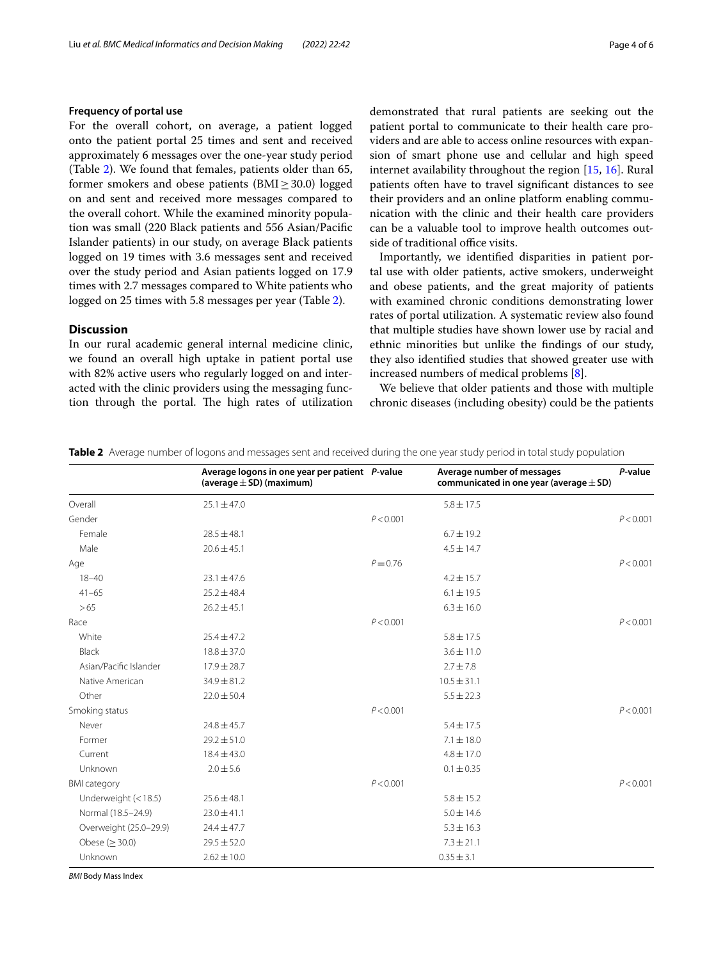# **Frequency of portal use**

For the overall cohort, on average, a patient logged onto the patient portal 25 times and sent and received approximately 6 messages over the one-year study period (Table [2](#page-3-0)). We found that females, patients older than 65, former smokers and obese patients (BMI≥30.0) logged on and sent and received more messages compared to the overall cohort. While the examined minority population was small (220 Black patients and 556 Asian/Pacifc Islander patients) in our study, on average Black patients logged on 19 times with 3.6 messages sent and received over the study period and Asian patients logged on 17.9 times with 2.7 messages compared to White patients who logged on 25 times with 5.8 messages per year (Table [2](#page-3-0)).

#### **Discussion**

In our rural academic general internal medicine clinic, we found an overall high uptake in patient portal use with 82% active users who regularly logged on and interacted with the clinic providers using the messaging function through the portal. The high rates of utilization demonstrated that rural patients are seeking out the patient portal to communicate to their health care providers and are able to access online resources with expansion of smart phone use and cellular and high speed internet availability throughout the region [[15,](#page-5-11) [16](#page-5-12)]. Rural patients often have to travel signifcant distances to see their providers and an online platform enabling communication with the clinic and their health care providers can be a valuable tool to improve health outcomes outside of traditional office visits.

Importantly, we identifed disparities in patient portal use with older patients, active smokers, underweight and obese patients, and the great majority of patients with examined chronic conditions demonstrating lower rates of portal utilization. A systematic review also found that multiple studies have shown lower use by racial and ethnic minorities but unlike the fndings of our study, they also identifed studies that showed greater use with increased numbers of medical problems [\[8](#page-5-13)].

We believe that older patients and those with multiple chronic diseases (including obesity) could be the patients

|                        | Average logons in one year per patient P-value<br>(average $\pm$ SD) (maximum) |            | Average number of messages<br>communicated in one year (average $\pm$ SD) | P-value   |
|------------------------|--------------------------------------------------------------------------------|------------|---------------------------------------------------------------------------|-----------|
| Overall                | $25.1 \pm 47.0$                                                                |            | $5.8 \pm 17.5$                                                            |           |
| Gender                 |                                                                                | P < 0.001  |                                                                           | P < 0.001 |
| Female                 | $28.5 \pm 48.1$                                                                |            | $6.7 \pm 19.2$                                                            |           |
| Male                   | $20.6 \pm 45.1$                                                                |            | $4.5 \pm 14.7$                                                            |           |
| Age                    |                                                                                | $P = 0.76$ |                                                                           | P < 0.001 |
| $18 - 40$              | $23.1 \pm 47.6$                                                                |            | $4.2 \pm 15.7$                                                            |           |
| $41 - 65$              | $25.2 \pm 48.4$                                                                |            | $6.1 \pm 19.5$                                                            |           |
| >65                    | $26.2 \pm 45.1$                                                                |            | $6.3 \pm 16.0$                                                            |           |
| Race                   |                                                                                | P < 0.001  |                                                                           | P < 0.001 |
| White                  | $25.4 \pm 47.2$                                                                |            | $5.8 \pm 17.5$                                                            |           |
| Black                  | $18.8 \pm 37.0$                                                                |            | $3.6 \pm 11.0$                                                            |           |
| Asian/Pacific Islander | $17.9 \pm 28.7$                                                                |            | $2.7 \pm 7.8$                                                             |           |
| Native American        | 34.9±81.2                                                                      |            | $10.5 \pm 31.1$                                                           |           |
| Other                  | $22.0 \pm 50.4$                                                                |            | $5.5 \pm 22.3$                                                            |           |
| Smoking status         |                                                                                | P < 0.001  |                                                                           | P < 0.001 |
| Never                  | $24.8 \pm 45.7$                                                                |            | $5.4 \pm 17.5$                                                            |           |
| Former                 | $29.2 \pm 51.0$                                                                |            | $7.1 \pm 18.0$                                                            |           |
| Current                | $18.4 \pm 43.0$                                                                |            | $4.8 \pm 17.0$                                                            |           |
| Unknown                | $2.0 \pm 5.6$                                                                  |            | $0.1 \pm 0.35$                                                            |           |
| <b>BMI</b> category    |                                                                                | P < 0.001  |                                                                           | P < 0.001 |
| Underweight (<18.5)    | $25.6 \pm 48.1$                                                                |            | $5.8 \pm 15.2$                                                            |           |
| Normal (18.5-24.9)     | $23.0 \pm 41.1$                                                                |            | $5.0 \pm 14.6$                                                            |           |
| Overweight (25.0-29.9) | $24.4 \pm 47.7$                                                                |            | $5.3 \pm 16.3$                                                            |           |
| Obese $(≥ 30.0)$       | $29.5 \pm 52.0$                                                                |            | $7.3 \pm 21.1$                                                            |           |
| Unknown                | $2.62 \pm 10.0$                                                                |            | $0.35 \pm 3.1$                                                            |           |

<span id="page-3-0"></span>**Table 2** Average number of logons and messages sent and received during the one year study period in total study population

*BMI* Body Mass Index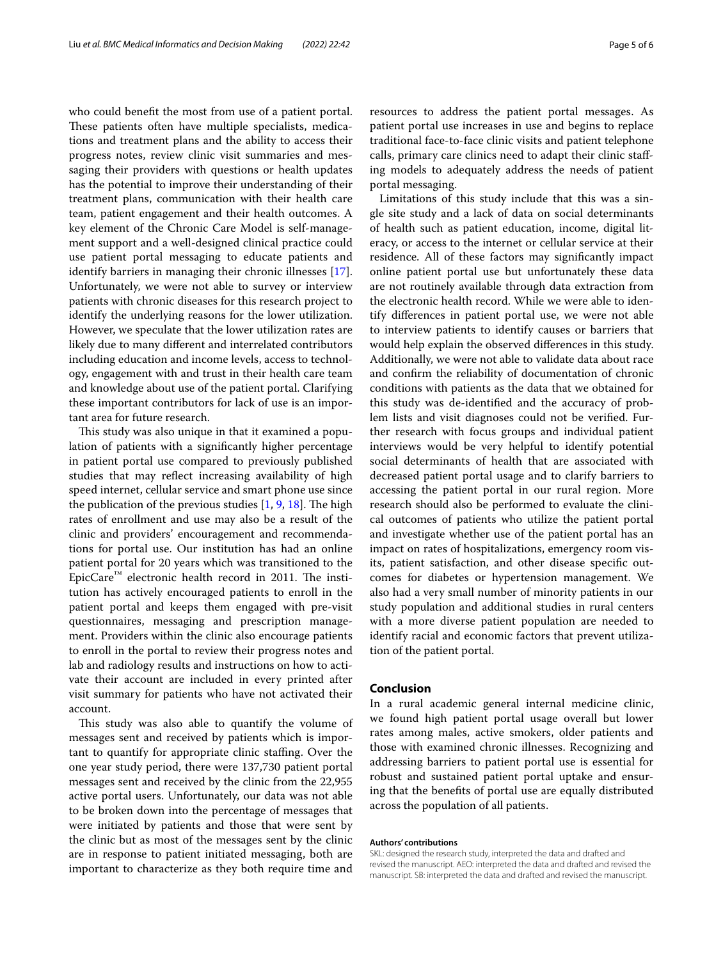who could beneft the most from use of a patient portal. These patients often have multiple specialists, medications and treatment plans and the ability to access their progress notes, review clinic visit summaries and messaging their providers with questions or health updates has the potential to improve their understanding of their treatment plans, communication with their health care team, patient engagement and their health outcomes. A key element of the Chronic Care Model is self-management support and a well-designed clinical practice could use patient portal messaging to educate patients and identify barriers in managing their chronic illnesses [\[17](#page-5-14)]. Unfortunately, we were not able to survey or interview patients with chronic diseases for this research project to identify the underlying reasons for the lower utilization. However, we speculate that the lower utilization rates are likely due to many diferent and interrelated contributors including education and income levels, access to technology, engagement with and trust in their health care team and knowledge about use of the patient portal. Clarifying these important contributors for lack of use is an important area for future research.

This study was also unique in that it examined a population of patients with a signifcantly higher percentage in patient portal use compared to previously published studies that may refect increasing availability of high speed internet, cellular service and smart phone use since the publication of the previous studies  $[1, 9, 18]$  $[1, 9, 18]$  $[1, 9, 18]$  $[1, 9, 18]$  $[1, 9, 18]$ . The high rates of enrollment and use may also be a result of the clinic and providers' encouragement and recommendations for portal use. Our institution has had an online patient portal for 20 years which was transitioned to the  $EpicCare^{\mathsf{M}}$  electronic health record in 2011. The institution has actively encouraged patients to enroll in the patient portal and keeps them engaged with pre-visit questionnaires, messaging and prescription management. Providers within the clinic also encourage patients to enroll in the portal to review their progress notes and lab and radiology results and instructions on how to activate their account are included in every printed after visit summary for patients who have not activated their account.

This study was also able to quantify the volume of messages sent and received by patients which is important to quantify for appropriate clinic stafng. Over the one year study period, there were 137,730 patient portal messages sent and received by the clinic from the 22,955 active portal users. Unfortunately, our data was not able to be broken down into the percentage of messages that were initiated by patients and those that were sent by the clinic but as most of the messages sent by the clinic are in response to patient initiated messaging, both are important to characterize as they both require time and resources to address the patient portal messages. As patient portal use increases in use and begins to replace traditional face-to-face clinic visits and patient telephone calls, primary care clinics need to adapt their clinic stafing models to adequately address the needs of patient portal messaging.

Limitations of this study include that this was a single site study and a lack of data on social determinants of health such as patient education, income, digital literacy, or access to the internet or cellular service at their residence. All of these factors may signifcantly impact online patient portal use but unfortunately these data are not routinely available through data extraction from the electronic health record. While we were able to identify diferences in patient portal use, we were not able to interview patients to identify causes or barriers that would help explain the observed diferences in this study. Additionally, we were not able to validate data about race and confrm the reliability of documentation of chronic conditions with patients as the data that we obtained for this study was de-identifed and the accuracy of problem lists and visit diagnoses could not be verifed. Further research with focus groups and individual patient interviews would be very helpful to identify potential social determinants of health that are associated with decreased patient portal usage and to clarify barriers to accessing the patient portal in our rural region. More research should also be performed to evaluate the clinical outcomes of patients who utilize the patient portal and investigate whether use of the patient portal has an impact on rates of hospitalizations, emergency room visits, patient satisfaction, and other disease specifc outcomes for diabetes or hypertension management. We also had a very small number of minority patients in our study population and additional studies in rural centers with a more diverse patient population are needed to identify racial and economic factors that prevent utilization of the patient portal.

### **Conclusion**

In a rural academic general internal medicine clinic, we found high patient portal usage overall but lower rates among males, active smokers, older patients and those with examined chronic illnesses. Recognizing and addressing barriers to patient portal use is essential for robust and sustained patient portal uptake and ensuring that the benefts of portal use are equally distributed across the population of all patients.

#### **Authors' contributions**

SKL: designed the research study, interpreted the data and drafted and revised the manuscript. AEO: interpreted the data and drafted and revised the manuscript. SB: interpreted the data and drafted and revised the manuscript.